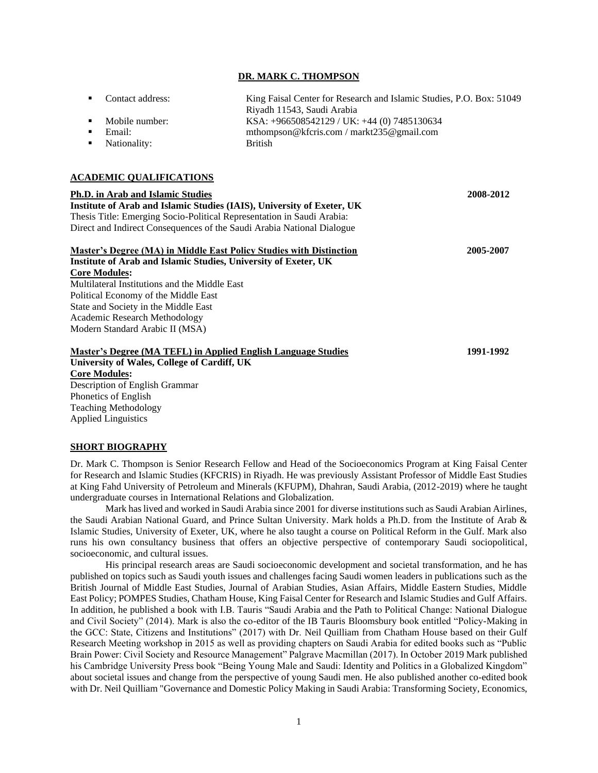#### **DR. MARK C. THOMPSON**

| Contact address: | King Faisal Center for Research and Islamic Studies, P.O. Box: 51049 |
|------------------|----------------------------------------------------------------------|
|                  | Riyadh 11543, Saudi Arabia                                           |
| Mobile number:   | KSA: $+966508542129$ / UK: $+44$ (0) 7485130634                      |
| Email:           | mthompson@kfcris.com / markt235@gmail.com                            |
| Nationality:     | <b>British</b>                                                       |
|                  |                                                                      |
|                  |                                                                      |

#### **ACADEMIC QUALIFICATIONS**

| <b>Ph.D.</b> in Arab and Islamic Studies                               | 2008-2012 |
|------------------------------------------------------------------------|-----------|
| Institute of Arab and Islamic Studies (IAIS), University of Exeter, UK |           |
| Thesis Title: Emerging Socio-Political Representation in Saudi Arabia: |           |
| Direct and Indirect Consequences of the Saudi Arabia National Dialogue |           |
| Master's Degree (MA) in Middle East Policy Studies with Distinction    | 2005-2007 |
| Institute of Arab and Islamic Studies, University of Exeter, UK        |           |
| <b>Core Modules:</b>                                                   |           |
| Multilateral Institutions and the Middle East                          |           |
| Political Economy of the Middle East                                   |           |
| State and Society in the Middle East                                   |           |
| Academic Research Methodology                                          |           |
| Modern Standard Arabic II (MSA)                                        |           |
| Master's Degree (MA TEFL) in Applied English Language Studies          | 1991-1992 |
| University of Wales, College of Cardiff, UK                            |           |
| <b>Core Modules:</b>                                                   |           |

Description of English Grammar Phonetics of English Teaching Methodology Applied Linguistics

### **SHORT BIOGRAPHY**

Dr. Mark C. Thompson is Senior Research Fellow and Head of the Socioeconomics Program at King Faisal Center for Research and Islamic Studies (KFCRIS) in Riyadh. He was previously Assistant Professor of Middle East Studies at King Fahd University of Petroleum and Minerals (KFUPM), Dhahran, Saudi Arabia, (2012-2019) where he taught undergraduate courses in International Relations and Globalization.

Mark has lived and worked in Saudi Arabia since 2001 for diverse institutions such as Saudi Arabian Airlines, the Saudi Arabian National Guard, and Prince Sultan University. Mark holds a Ph.D. from the Institute of Arab & Islamic Studies, University of Exeter, UK, where he also taught a course on Political Reform in the Gulf. Mark also runs his own consultancy business that offers an objective perspective of contemporary Saudi sociopolitical, socioeconomic, and cultural issues.

His principal research areas are Saudi socioeconomic development and societal transformation, and he has published on topics such as Saudi youth issues and challenges facing Saudi women leaders in publications such as the British Journal of Middle East Studies, Journal of Arabian Studies, Asian Affairs, Middle Eastern Studies, Middle East Policy; POMPES Studies, Chatham House, King Faisal Center for Research and Islamic Studies and Gulf Affairs. In addition, he published a book with I.B. Tauris "Saudi Arabia and the Path to Political Change: National Dialogue and Civil Society" (2014). Mark is also the co-editor of the IB Tauris Bloomsbury book entitled "Policy-Making in the GCC: State, Citizens and Institutions" (2017) with Dr. Neil Quilliam from Chatham House based on their Gulf Research Meeting workshop in 2015 as well as providing chapters on Saudi Arabia for edited books such as "Public Brain Power: Civil Society and Resource Management" Palgrave Macmillan (2017). In October 2019 Mark published his Cambridge University Press book "Being Young Male and Saudi: Identity and Politics in a Globalized Kingdom" about societal issues and change from the perspective of young Saudi men. He also published another co-edited book with Dr. Neil Quilliam "Governance and Domestic Policy Making in Saudi Arabia: Transforming Society, Economics,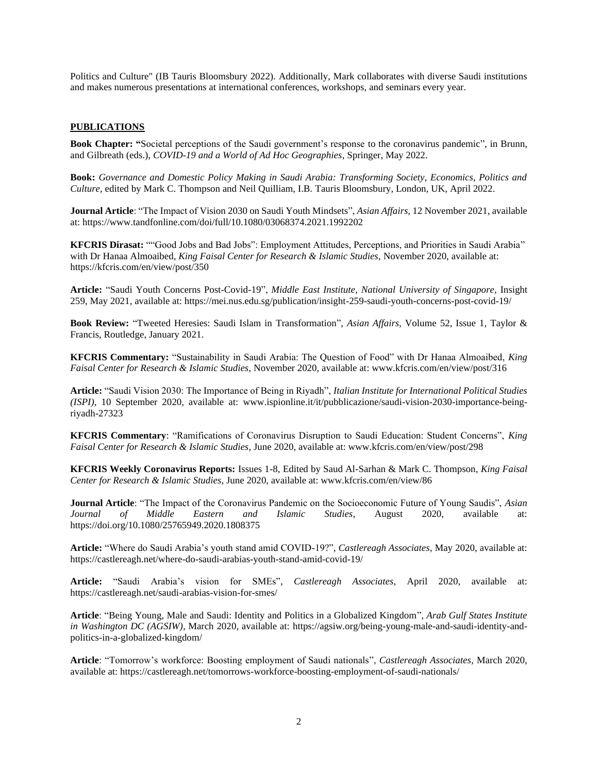Politics and Culture" (IB Tauris Bloomsbury 2022). Additionally, Mark collaborates with diverse Saudi institutions and makes numerous presentations at international conferences, workshops, and seminars every year.

# **PUBLICATIONS**

**Book Chapter: "**Societal perceptions of the Saudi government's response to the coronavirus pandemic", in Brunn, and Gilbreath (eds.), *COVID-19 and a World of Ad Hoc Geographies*, Springer, May 2022.

**Book:** *Governance and Domestic Policy Making in Saudi Arabia: Transforming Society, Economics, Politics and Culture,* edited by Mark C. Thompson and Neil Quilliam, I.B. Tauris Bloomsbury, London, UK, April 2022.

**Journal Article**: "The Impact of Vision 2030 on Saudi Youth Mindsets", *Asian Affairs,* 12 November 2021, available at: https://www.tandfonline.com/doi/full/10.1080/03068374.2021.1992202

**KFCRIS Dirasat:** ""Good Jobs and Bad Jobs": Employment Attitudes, Perceptions, and Priorities in Saudi Arabia" with Dr Hanaa Almoaibed, *King Faisal Center for Research & Islamic Studies,* November 2020, available at: https://kfcris.com/en/view/post/350

**Article:** "Saudi Youth Concerns Post-Covid-19", *Middle East Institute*, *National University of Singapore*, Insight 259, May 2021, available at: https://mei.nus.edu.sg/publication/insight-259-saudi-youth-concerns-post-covid-19/

**Book Review:** "Tweeted Heresies: Saudi Islam in Transformation", *Asian Affairs*, Volume 52, Issue 1, Taylor & Francis, Routledge, January 2021.

**KFCRIS Commentary:** "Sustainability in Saudi Arabia: The Question of Food" with Dr Hanaa Almoaibed, *King Faisal Center for Research & Islamic Studies,* November 2020, available at: www.kfcris.com/en/view/post/316

**Article:** "Saudi Vision 2030: The Importance of Being in Riyadh", *Italian Institute for International Political Studies (ISPI),* 10 September 2020, available at: www.ispionline.it/it/pubblicazione/saudi-vision-2030-importance-beingriyadh-27323

**KFCRIS Commentary**: "Ramifications of Coronavirus Disruption to Saudi Education: Student Concerns", *King Faisal Center for Research & Islamic Studies*, June 2020, available at: www.kfcris.com/en/view/post/298

**KFCRIS Weekly Coronavirus Reports:** Issues 1-8, Edited by Saud Al-Sarhan & Mark C. Thompson, *King Faisal Center for Research & Islamic Studies*, June 2020, available at: www.kfcris.com/en/view/86

**Journal Article**: "The Impact of the Coronavirus Pandemic on the Socioeconomic Future of Young Saudis", *Asian Journal of Middle Eastern and Islamic Studies*, August 2020, available at: https://doi.org/10.1080/25765949.2020.1808375

**Article:** "Where do Saudi Arabia's youth stand amid COVID-19?", *Castlereagh Associates*, May 2020, available at: https://castlereagh.net/where-do-saudi-arabias-youth-stand-amid-covid-19/

**Article:** "Saudi Arabia's vision for SMEs", *Castlereagh Associates*, April 2020, available at: https://castlereagh.net/saudi-arabias-vision-for-smes/

**Article**: "Being Young, Male and Saudi: Identity and Politics in a Globalized Kingdom", *Arab Gulf States Institute in Washington DC (AGSIW),* March 2020, available at: https://agsiw.org/being-young-male-and-saudi-identity-andpolitics-in-a-globalized-kingdom/

**Article**: "Tomorrow's workforce: Boosting employment of Saudi nationals", *Castlereagh Associates*, March 2020, available at: https://castlereagh.net/tomorrows-workforce-boosting-employment-of-saudi-nationals/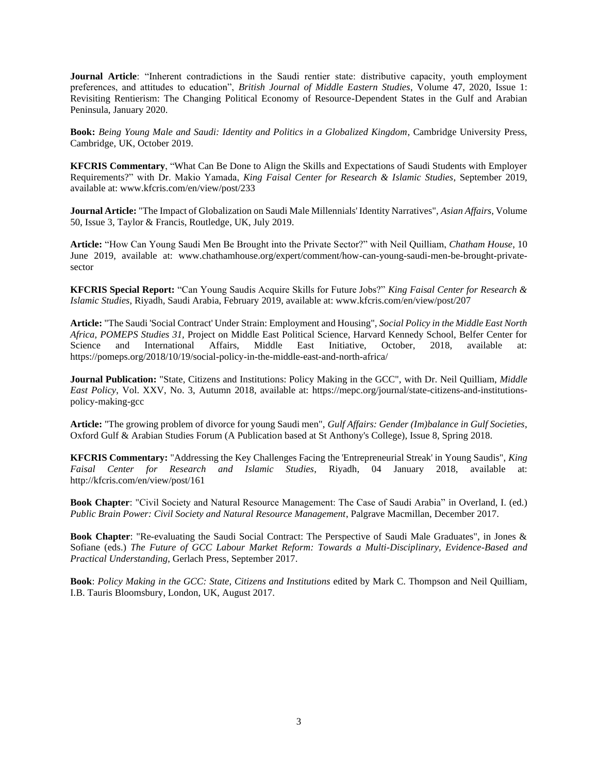**Journal Article**: "Inherent contradictions in the Saudi rentier state: distributive capacity, youth employment preferences, and attitudes to education", *British Journal of Middle Eastern Studies*, Volume 47, 2020, Issue 1: Revisiting Rentierism: The Changing Political Economy of Resource-Dependent States in the Gulf and Arabian Peninsula, January 2020.

**Book:** *Being Young Male and Saudi: Identity and Politics in a Globalized Kingdom*, Cambridge University Press, Cambridge, UK, October 2019.

**KFCRIS Commentary**, "What Can Be Done to Align the Skills and Expectations of Saudi Students with Employer Requirements?" with Dr. Makio Yamada, *King Faisal Center for Research & Islamic Studies*, September 2019, available at: www.kfcris.com/en/view/post/233

**Journal Article:** "The Impact of Globalization on Saudi Male Millennials' Identity Narratives", *Asian Affairs*, Volume 50, Issue 3, Taylor & Francis, Routledge, UK, July 2019.

**Article:** "How Can Young Saudi Men Be Brought into the Private Sector?" with Neil Quilliam, *Chatham House*, 10 June 2019, available at: www.chathamhouse.org/expert/comment/how-can-young-saudi-men-be-brought-privatesector

**KFCRIS Special Report:** "Can Young Saudis Acquire Skills for Future Jobs?" *King Faisal Center for Research & Islamic Studies*, Riyadh, Saudi Arabia, February 2019, available at: www.kfcris.com/en/view/post/207

**Article:** "The Saudi 'Social Contract' Under Strain: Employment and Housing", *Social Policy in the Middle East North Africa, POMEPS Studies 31,* Project on Middle East Political Science, Harvard Kennedy School, Belfer Center for Science and International Affairs, Middle East Initiative, October, 2018, available at: https://pomeps.org/2018/10/19/social-policy-in-the-middle-east-and-north-africa/

**Journal Publication:** "State, Citizens and Institutions: Policy Making in the GCC", with Dr. Neil Quilliam, *Middle East Policy*, Vol. XXV, No. 3, Autumn 2018, available at: https://mepc.org/journal/state-citizens-and-institutionspolicy-making-gcc

**Article:** "The growing problem of divorce for young Saudi men", *Gulf Affairs: Gender (Im)balance in Gulf Societies*, Oxford Gulf & Arabian Studies Forum (A Publication based at St Anthony's College), Issue 8, Spring 2018.

**KFCRIS Commentary:** "Addressing the Key Challenges Facing the 'Entrepreneurial Streak' in Young Saudis", *King Faisal Center for Research and Islamic Studies*, Riyadh, 04 January 2018, available at: http://kfcris.com/en/view/post/161

**Book Chapter**: "Civil Society and Natural Resource Management: The Case of Saudi Arabia" in Overland, I. (ed.) *Public Brain Power: Civil Society and Natural Resource Management*, Palgrave Macmillan, December 2017.

**Book Chapter**: "Re-evaluating the Saudi Social Contract: The Perspective of Saudi Male Graduates", in Jones & Sofiane (eds.) *The Future of GCC Labour Market Reform: Towards a Multi-Disciplinary, Evidence-Based and Practical Understanding*, Gerlach Press, September 2017.

**Book**: *Policy Making in the GCC: State, Citizens and Institutions* edited by Mark C. Thompson and Neil Quilliam, I.B. Tauris Bloomsbury, London, UK, August 2017.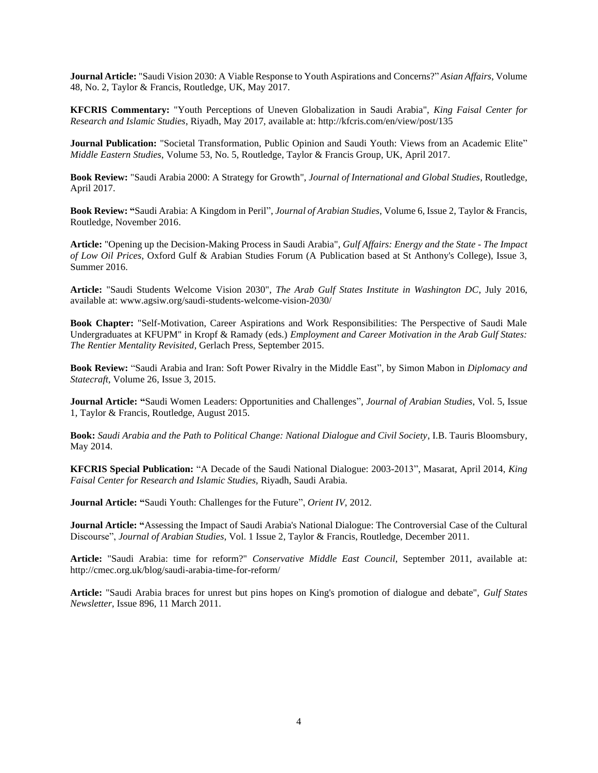**Journal Article:** "Saudi Vision 2030: A Viable Response to Youth Aspirations and Concerns?" *Asian Affairs*, Volume 48, No. 2, Taylor & Francis, Routledge, UK, May 2017.

**KFCRIS Commentary:** "Youth Perceptions of Uneven Globalization in Saudi Arabia", *King Faisal Center for Research and Islamic Studies*, Riyadh, May 2017, available at: http://kfcris.com/en/view/post/135

**Journal Publication:** "Societal Transformation, Public Opinion and Saudi Youth: Views from an Academic Elite" *Middle Eastern Studies*, Volume 53, No. 5, Routledge, Taylor & Francis Group, UK, April 2017.

**Book Review:** "Saudi Arabia 2000: A Strategy for Growth", *Journal of International and Global Studies*, Routledge, April 2017.

**Book Review: "**Saudi Arabia: A Kingdom in Peril", *Journal of Arabian Studies*, Volume 6, Issue 2, Taylor & Francis, Routledge, November 2016.

**Article:** "Opening up the Decision-Making Process in Saudi Arabia", *Gulf Affairs: Energy and the State - The Impact of Low Oil Prices*, Oxford Gulf & Arabian Studies Forum (A Publication based at St Anthony's College), Issue 3, Summer 2016.

**Article:** "Saudi Students Welcome Vision 2030", *The Arab Gulf States Institute in Washington DC*, July 2016, available at: www.agsiw.org/saudi-students-welcome-vision-2030/

**Book Chapter:** "Self-Motivation, Career Aspirations and Work Responsibilities: The Perspective of Saudi Male Undergraduates at KFUPM" in Kropf & Ramady (eds.) *Employment and Career Motivation in the Arab Gulf States: The Rentier Mentality Revisited*, Gerlach Press, September 2015.

**Book Review:** "Saudi Arabia and Iran: Soft Power Rivalry in the Middle East", by Simon Mabon in *Diplomacy and Statecraft*, Volume 26, Issue 3, 2015.

**Journal Article: "**Saudi Women Leaders: Opportunities and Challenges", *Journal of Arabian Studies*, Vol. 5, Issue 1, Taylor & Francis, Routledge, August 2015.

**Book:** *Saudi Arabia and the Path to Political Change: National Dialogue and Civil Society*, I.B. Tauris Bloomsbury, May 2014.

**KFCRIS Special Publication:** "A Decade of the Saudi National Dialogue: 2003-2013", Masarat, April 2014, *King Faisal Center for Research and Islamic Studies,* Riyadh, Saudi Arabia.

**Journal Article: "**Saudi Youth: Challenges for the Future", *Orient IV*, 2012.

**Journal Article: "**Assessing the Impact of Saudi Arabia's National Dialogue: The Controversial Case of the Cultural Discourse", *Journal of Arabian Studies*, Vol. 1 Issue 2, Taylor & Francis, Routledge, December 2011.

**Article:** "Saudi Arabia: time for reform?" *Conservative Middle East Council*, September 2011, available at: http://cmec.org.uk/blog/saudi-arabia-time-for-reform/

**Article:** "Saudi Arabia braces for unrest but pins hopes on King's promotion of dialogue and debate", *Gulf States Newsletter*, Issue 896, 11 March 2011.